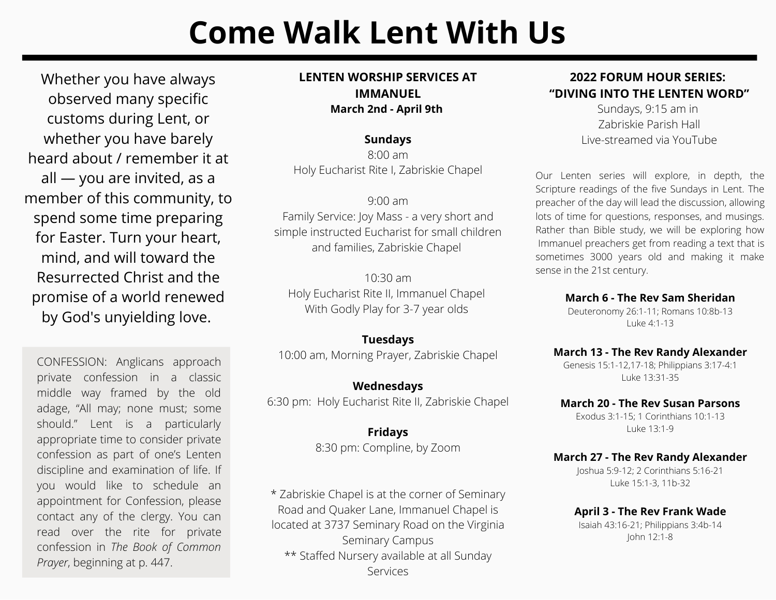# **Come Walk Lent With Us**

Whether you have always observed many specific customs during Lent, or whether you have barely heard about / remember it at all — you are invited, as a member of this community, to spend some time preparing for Easter. Turn your heart, mind, and will toward the Resurrected Christ and the promise of a world renewed by God's unyielding love.

uiscipinte and examination or me. in<br>you would like to schedule an appointment for Confession, please contact any or the clergy. Fou can<br>read over the rite for private confession in *The Book of Common* CONFESSION: Anglicans approach private confession in a classic middle way framed by the old adage, "All may; none must; some should." Lent is a particularly appropriate time to consider private confession as part of one's Lenten discipline and examination of life. If contact any of the clergy. You can *Prayer*, beginning at p. 447.

## **LENTEN WORSHIP SERVICES AT IMMANUEL March 2nd - April 9th**

## **Sundays**

8:00 am Holy Eucharist Rite I, Zabriskie Chapel

9:00 am Family Service: Joy Mass - a very short and simple instructed Eucharist for small children and families, Zabriskie Chapel

 $10.30 \text{ am}$ Holy Eucharist Rite II, Immanuel Chapel With Godly Play for 3-7 year olds

## **Tuesdays**

10:00 am, Morning Prayer, Zabriskie Chapel

**Wednesdays** 6:30 pm: Holy Eucharist Rite II, Zabriskie Chapel

> **Fridays** 8:30 pm: Compline, by Zoom

\* Zabriskie Chapel is at the corner of Seminary Road and Quaker Lane, Immanuel Chapel is located at 3737 Seminary Road on the Virginia Seminary Campus \*\* Staffed Nursery available at all Sunday Services

## **2022 FORUM HOUR SERIES: "DIVING INTO THE LENTEN WORD"**

Sundays, 9:15 am in Zabriskie Parish Hall Live-streamed via YouTube

Our Lenten series will explore, in depth, the Scripture readings of the five Sundays in Lent. The preacher of the day will lead the discussion, allowing lots of time for questions, responses, and musings. Rather than Bible study, we will be exploring how Immanuel preachers get from reading a text that is sometimes 3000 years old and making it make sense in the 21st century.

#### **March 6 - The Rev Sam Sheridan**

[Deuteronomy](http://lectionarypage.net/YearC_RCL/Lent/CLent1_RCL.html#ot1) 26:1-11; Romans [10:8b-13](http://lectionarypage.net/YearC_RCL/Lent/CLent1_RCL.html#nt1) Luke [4:1-13](http://lectionarypage.net/YearC_RCL/Lent/CLent1_RCL.html#gsp1)

## **March 13 - The Rev Randy Alexander**

Genesis [15:1-12,17-18](http://lectionarypage.net/YearC_RCL/Lent/CLent2_RCL.html#ot1); [Philippians](http://lectionarypage.net/YearC_RCL/Lent/CLent2_RCL.html#nt1) 3:17-4:1 Luke [13:31-35](http://lectionarypage.net/YearC_RCL/Lent/CLent2_RCL.html#gsp1)

#### **March 20 - The Rev Susan Parsons**

[Exodus](http://lectionarypage.net/YearC_RCL/Lent/CLent3_RCL.html#ot1) 3:1-15; 1 [Corinthians](http://lectionarypage.net/YearC_RCL/Lent/CLent3_RCL.html#nt1) 10:1-13 Luke [13:1-9](http://lectionarypage.net/YearC_RCL/Lent/CLent3_RCL.html#gsp1)

#### **March 27 - The Rev Randy Alexander**

[Joshua](http://lectionarypage.net/YearC_RCL/Lent/CLent4_RCL.html#ot1) 5:9-12; 2 [Corinthians](http://lectionarypage.net/YearC_RCL/Lent/CLent4_RCL.html#nt1) 5:16-21 Luke 15:1-3, [11b-32](http://lectionarypage.net/YearC_RCL/Lent/CLent4_RCL.html#gsp1)

**April 3 - The Rev Frank Wade** Isaiah [43:16-21;](http://lectionarypage.net/YearC_RCL/Lent/CLent5_RCL.html#ot1) [Philippians](http://lectionarypage.net/YearC_RCL/Lent/CLent5_RCL.html#nt1) 3:4b-14 John [12:1-8](http://lectionarypage.net/YearC_RCL/Lent/CLent5_RCL.html#gsp1)